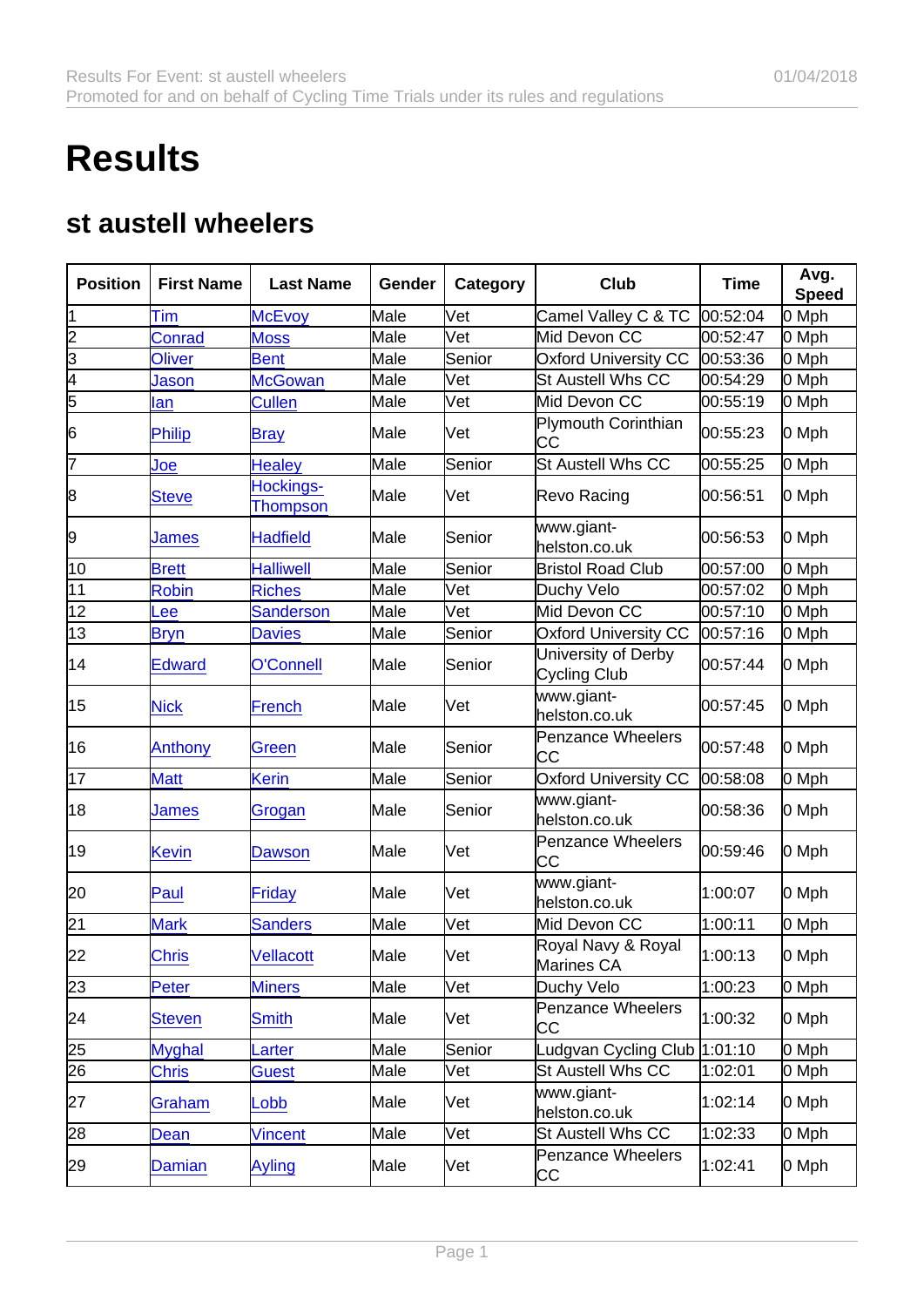## **Results**

## st austell wheelers

| Position        | <b>First Name</b> | Last Name                    | Gender | Category | Club                                  | Time     | Avg.<br>Speed |
|-----------------|-------------------|------------------------------|--------|----------|---------------------------------------|----------|---------------|
| 1               | Tim               | <b>McEvoy</b>                | Male   | Vet      | Camel Valley C & TC                   | 00:52:04 | 0 Mph         |
| $\overline{2}$  | <b>Conrad</b>     | <b>Moss</b>                  | Male   | Vet      | Mid Devon CC                          | 00:52:47 | 0 Mph         |
| $\overline{3}$  | <b>Oliver</b>     | <b>Bent</b>                  | Male   | Senior   | <b>Oxford University CC</b>           | 00:53:36 | 0 Mph         |
| 4               | Jason             | <b>McGowan</b>               | Male   | Vet      | <b>St Austell Whs CC</b>              | 00:54:29 | 0 Mph         |
| 5               | lan               | <b>Cullen</b>                | Male   | Vet      | Mid Devon CC                          | 00:55:19 | 0 Mph         |
| 6               | Philip            | <b>Bray</b>                  | Male   | Vet      | <b>Plymouth Corinthian</b><br>CС      | 00:55:23 | 0 Mph         |
| 7               | Joe               | <b>Healey</b>                | Male   | Senior   | St Austell Whs CC                     | 00:55:25 | 0 Mph         |
| 8               | <b>Steve</b>      | Hockings-<br><b>Thompson</b> | Male   | lVet     | Revo Racing                           | 00:56:51 | 0 Mph         |
| 9               | James             | Hadfield                     | Male   | Senior   | www.giant-<br>helston.co.uk           | 00:56:53 | 0 Mph         |
| 10              | <b>Brett</b>      | <b>Halliwell</b>             | Male   | Senior   | <b>Bristol Road Club</b>              | 00:57:00 | 0 Mph         |
| 11              | <b>Robin</b>      | <b>Riches</b>                | Male   | Vet      | Duchy Velo                            | 00:57:02 | 0 Mph         |
| $\overline{12}$ | Lee               | <b>Sanderson</b>             | Male   | Vet      | Mid Devon CC                          | 00:57:10 | 0 Mph         |
| 13              | <b>Bryn</b>       | <b>Davies</b>                | Male   | Senior   | <b>Oxford University CC</b>           | 00:57:16 | 0 Mph         |
| 14              | <b>Edward</b>     | O'Connell                    | Male   | Senior   | University of Derby<br>Cycling Club   | 00:57:44 | 0 Mph         |
| 15              | <b>Nick</b>       | French                       | Male   | Vet      | www.giant-<br>helston.co.uk           | 00:57:45 | 0 Mph         |
| 16              | Anthony           | Green                        | Male   | Senior   | <b>Penzance Wheelers</b><br><b>CC</b> | 00:57:48 | 0 Mph         |
| 17              | <b>Matt</b>       | Kerin                        | Male   | Senior   | Oxford University CC                  | 00:58:08 | 0 Mph         |
| 18              | James             | Grogan                       | Male   | Senior   | www.giant-<br>helston.co.uk           | 00:58:36 | 0 Mph         |
| 19              | <b>Kevin</b>      | Dawson                       | Male   | Vet      | <b>Penzance Wheelers</b><br>CС        | 00:59:46 | 0 Mph         |
| 20              | Paul              | Friday                       | Male   | Vet      | www.giant-<br>helston.co.uk           | 1:00:07  | 0 Mph         |
| 21              | <b>Mark</b>       | <b>Sanders</b>               | Male   | Vet      | Mid Devon CC                          | 1:00:11  | 0 Mph         |
| 22              | <b>Chris</b>      | <b>Vellacott</b>             | Male   | Vet      | Royal Navy & Royal<br>Marines CA      | 1:00:13  | 0 Mph         |
| 23              | Peter             | <b>Miners</b>                | Male   | Vet      | Duchy Velo                            | 1:00:23  | 0 Mph         |
| 24              | <b>Steven</b>     | <b>Smith</b>                 | Male   | Vet      | Penzance Wheelers<br>CС               | 1:00:32  | 0 Mph         |
| 25              | <b>Myghal</b>     | <b>Larter</b>                | Male   | Senior   | 1:01:10 Ludgvan Cycling Club          |          | 0 Mph         |
| 26              | <b>Chris</b>      | Guest                        | Male   | Vet      | St Austell Whs CC                     | 1:02:01  | 0 Mph         |
| 27              | Graham            | _obb                         | Male   | Vet      | www.giant-<br>helston.co.uk           | 1:02:14  | 0 Mph         |
| 28              | Dean              | Vincent                      | Male   | Vet      | St Austell Whs CC                     | 1:02:33  | 0 Mph         |
| 29              | <b>Damian</b>     | <b>Ayling</b>                | Male   | Vet      | Penzance Wheelers<br>СC               | 1:02:41  | 0 Mph         |